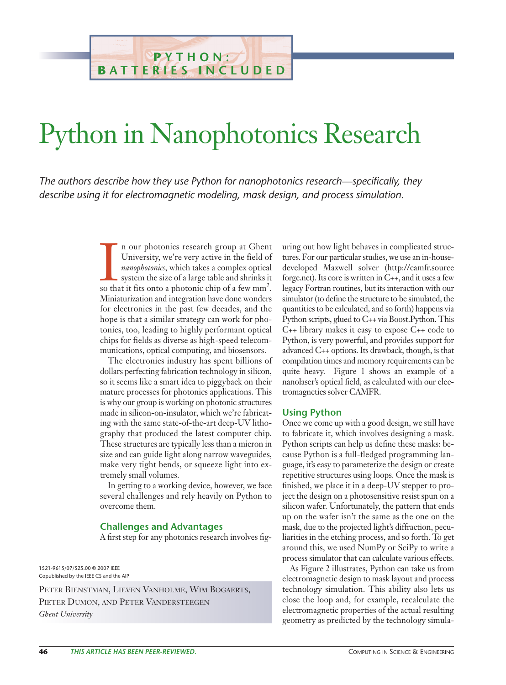## Python in Nanophotonics Research

**P YTHON: B ATTERIES I NCLUDED**

*The authors describe how they use Python for nanophotonics research—specifically, they describe using it for electromagnetic modeling, mask design, and process simulation.*

> In our photonics research group at Ghent University, we're very active in the field of *nanophotonics*, which takes a complex optical system the size of a large table and shrinks it so that it fits onto a photonic chip of n our photonics research group at Ghent University, we're very active in the field of *nanophotonics*, which takes a complex optical system the size of a large table and shrinks it Miniaturization and integration have done wonders for electronics in the past few decades, and the hope is that a similar strategy can work for photonics, too, leading to highly performant optical chips for fields as diverse as high-speed telecommunications, optical computing, and biosensors.

> The electronics industry has spent billions of dollars perfecting fabrication technology in silicon, so it seems like a smart idea to piggyback on their mature processes for photonics applications. This is why our group is working on photonic structures made in silicon-on-insulator, which we're fabricating with the same state-of-the-art deep-UV lithography that produced the latest computer chip. These structures are typically less than a micron in size and can guide light along narrow waveguides, make very tight bends, or squeeze light into extremely small volumes.

> In getting to a working device, however, we face several challenges and rely heavily on Python to overcome them.

## **Challenges and Advantages**

A first step for any photonics research involves fig-

1521-9615/07/\$25.00 © 2007 IEEE Copublished by the IEEE CS and the AIP

PETER BIENSTMAN, LIEVEN VANHOLME, WIM BOGAERTS, PIETER DUMON, AND PETER VANDERSTEEGEN *Ghent University*

uring out how light behaves in complicated structures. For our particular studies, we use an in-housedeveloped Maxwell solver (http://camfr.source forge.net). Its core is written in C++, and it uses a few legacy Fortran routines, but its interaction with our simulator (to define the structure to be simulated, the quantities to be calculated, and so forth) happens via Python scripts, glued to C++ via Boost.Python. This C++ library makes it easy to expose C++ code to Python, is very powerful, and provides support for advanced C++ options. Its drawback, though, is that compilation times and memory requirements can be quite heavy. Figure 1 shows an example of a nanolaser's optical field, as calculated with our electromagnetics solver CAMFR.

## **Using Python**

Once we come up with a good design, we still have to fabricate it, which involves designing a mask. Python scripts can help us define these masks: because Python is a full-fledged programming language, it's easy to parameterize the design or create repetitive structures using loops. Once the mask is finished, we place it in a deep-UV stepper to project the design on a photosensitive resist spun on a silicon wafer. Unfortunately, the pattern that ends up on the wafer isn't the same as the one on the mask, due to the projected light's diffraction, peculiarities in the etching process, and so forth. To get around this, we used NumPy or SciPy to write a process simulator that can calculate various effects.

As Figure 2 illustrates, Python can take us from electromagnetic design to mask layout and process technology simulation. This ability also lets us close the loop and, for example, recalculate the electromagnetic properties of the actual resulting geometry as predicted by the technology simula